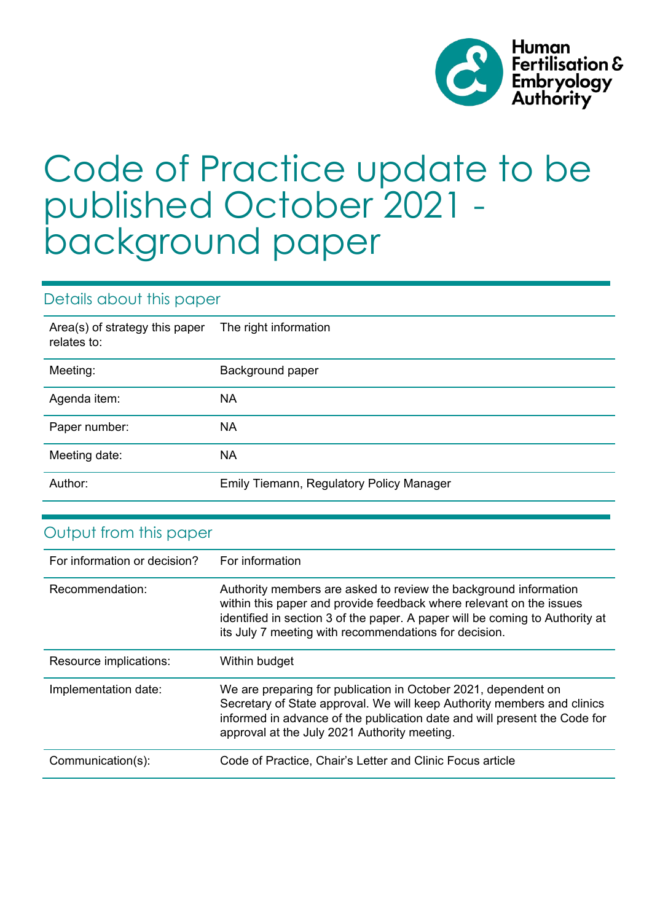

# Code of Practice update to be published October 2021 background paper

# Details about this paper

| Area(s) of strategy this paper<br>relates to: | The right information                           |
|-----------------------------------------------|-------------------------------------------------|
| Meeting:                                      | Background paper                                |
| Agenda item:                                  | <b>NA</b>                                       |
| Paper number:                                 | <b>NA</b>                                       |
| Meeting date:                                 | <b>NA</b>                                       |
| Author:                                       | <b>Emily Tiemann, Regulatory Policy Manager</b> |

| Output from this paper       |                                                                                                                                                                                                                                                                                  |
|------------------------------|----------------------------------------------------------------------------------------------------------------------------------------------------------------------------------------------------------------------------------------------------------------------------------|
| For information or decision? | For information                                                                                                                                                                                                                                                                  |
| Recommendation:              | Authority members are asked to review the background information<br>within this paper and provide feedback where relevant on the issues<br>identified in section 3 of the paper. A paper will be coming to Authority at<br>its July 7 meeting with recommendations for decision. |
| Resource implications:       | Within budget                                                                                                                                                                                                                                                                    |
|                              |                                                                                                                                                                                                                                                                                  |
| Implementation date:         | We are preparing for publication in October 2021, dependent on<br>Secretary of State approval. We will keep Authority members and clinics<br>informed in advance of the publication date and will present the Code for<br>approval at the July 2021 Authority meeting.           |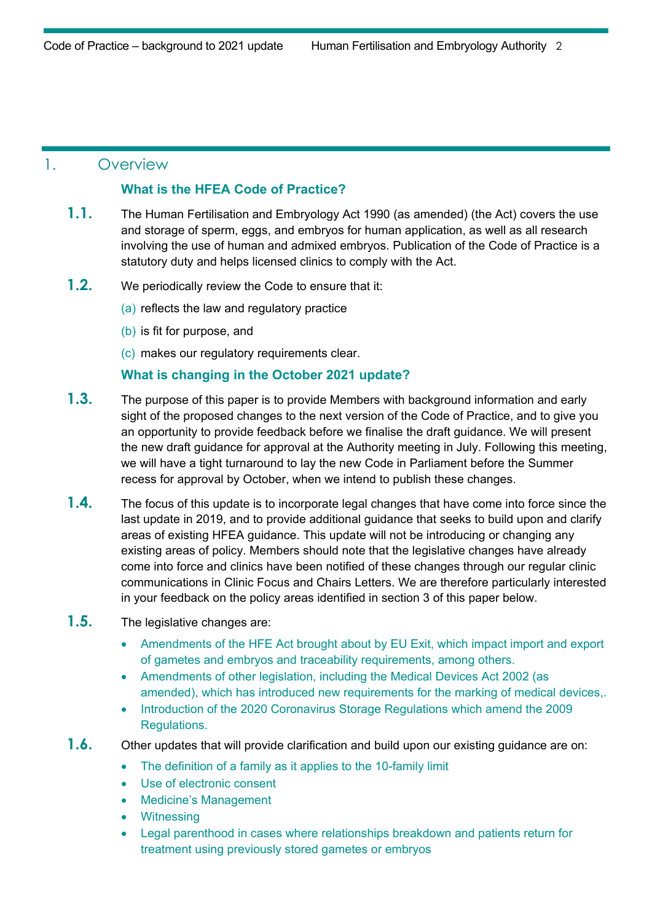## 1. Overview

#### **What is the HFEA Code of Practice?**

- **1.1.** The Human Fertilisation and Embryology Act 1990 (as amended) (the Act) covers the use and storage of sperm, eggs, and embryos for human application, as well as all research involving the use of human and admixed embryos. Publication of the Code of Practice is a statutory duty and helps licensed clinics to comply with the Act.
- **1.2.** We periodically review the Code to ensure that it:
	- (a) reflects the law and regulatory practice
	- (b) is fit for purpose, and
	- (c) makes our regulatory requirements clear.

#### **What is changing in the October 2021 update?**

- **1.3.** The purpose of this paper is to provide Members with background information and early sight of the proposed changes to the next version of the Code of Practice, and to give you an opportunity to provide feedback before we finalise the draft guidance. We will present the new draft guidance for approval at the Authority meeting in July. Following this meeting, we will have a tight turnaround to lay the new Code in Parliament before the Summer recess for approval by October, when we intend to publish these changes.
- **1.4.** The focus of this update is to incorporate legal changes that have come into force since the last update in 2019, and to provide additional guidance that seeks to build upon and clarify areas of existing HFEA guidance. This update will not be introducing or changing any existing areas of policy. Members should note that the legislative changes have already come into force and clinics have been notified of these changes through our regular clinic communications in Clinic Focus and Chairs Letters. We are therefore particularly interested in your feedback on the policy areas identified in section 3 of this paper below.
- **1.5.** The legislative changes are:
	- Amendments of the HFE Act brought about by EU Exit, which impact import and export of gametes and embryos and traceability requirements, among others.
	- Amendments of other legislation, including the Medical Devices Act 2002 (as amended), which has introduced new requirements for the marking of medical devices,.
	- Introduction of the 2020 Coronavirus Storage Regulations which amend the 2009 Regulations.
- **1.6.** Other updates that will provide clarification and build upon our existing guidance are on:
	- The definition of a family as it applies to the 10-family limit
	- Use of electronic consent
	- Medicine's Management
	- **Witnessing**
	- Legal parenthood in cases where relationships breakdown and patients return for treatment using previously stored gametes or embryos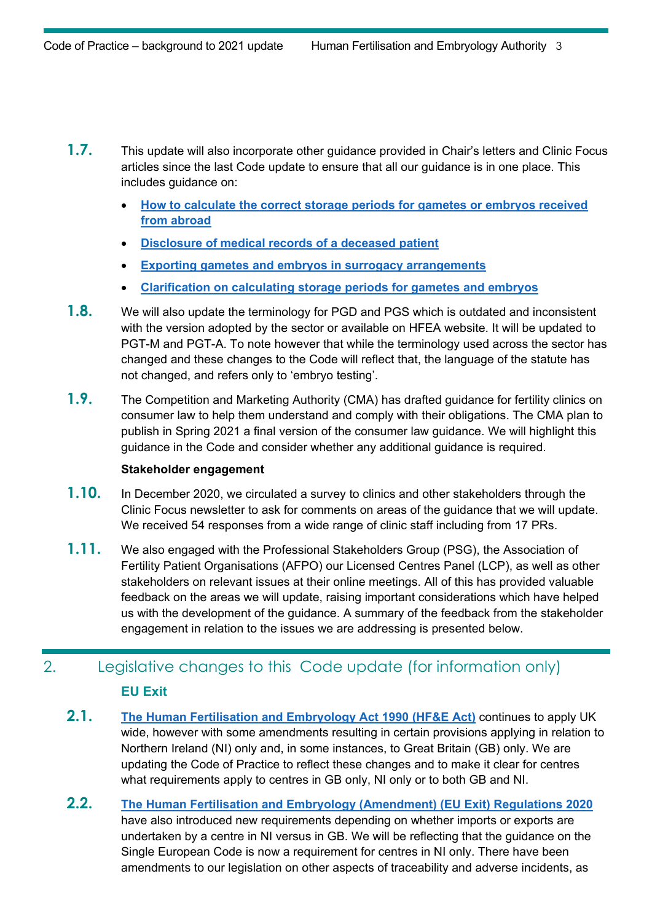- **1.7.** This update will also incorporate other guidance provided in Chair's letters and Clinic Focus articles since the last Code update to ensure that all our guidance is in one place. This includes guidance on:
	- **[How to calculate the correct storage periods for gametes or embryos received](https://hfeaclinicfocus.co.uk/campaign/NEgsIc26/fldcq7M0E/969831d82dfaf8b89328138d3abc0fba?wp-linkindex=0&utm_campaign=Clinic+Focus&utm_content=hfeaclinicfocus.co.uk&utm_medium=email&utm_source=Human+Fertilisation+and+Embryology+Authority)  [from abroad](https://hfeaclinicfocus.co.uk/campaign/NEgsIc26/fldcq7M0E/969831d82dfaf8b89328138d3abc0fba?wp-linkindex=0&utm_campaign=Clinic+Focus&utm_content=hfeaclinicfocus.co.uk&utm_medium=email&utm_source=Human+Fertilisation+and+Embryology+Authority)**
	- **[Disclosure of medical records of a deceased patient](https://hfeaclinicfocus.co.uk/campaign/NEgsIc26/212d9cb3763e7c81604d7ac2/54a322c0b299382208b581b6836c7977?wp-linkindex=0&utm_campaign=Clinic_Focus&utm_content=hfeaclinicfocus.co.uk&utm_medium=email&utm_source=Human_Fertilisation_and_Embryology_Authority)**
	- **[Exporting gametes and embryos in surrogacy arrangements](https://portal.hfea.gov.uk/knowledge-base/news-for-clinics/2020-clinic-news/exporting-gametes-or-embryos-for-patients-seeking-surrogacy-abroad/)**
	- **[Clarification on calculating storage periods for gametes and embryos](https://hfeaclinicfocus.co.uk/campaign/NEgsIc26/d87ac2bc71b2875e4d64a90b/f6d71a43f533f75640e0f97e31b3bc8a?wp-linkindex=0&utm_campaign=Clinic_Focus&utm_content=hfeaclinicfocus.co.uk&utm_medium=email&utm_source=Human_Fertilisation_and_Embryology_Authority)**
- **1.8.** We will also update the terminology for PGD and PGS which is outdated and inconsistent with the version adopted by the sector or available on HFEA website. It will be updated to PGT-M and PGT-A. To note however that while the terminology used across the sector has changed and these changes to the Code will reflect that, the language of the statute has not changed, and refers only to 'embryo testing'.
- **1.9.** The Competition and Marketing Authority (CMA) has drafted guidance for fertility clinics on consumer law to help them understand and comply with their obligations. The CMA plan to publish in Spring 2021 a final version of the consumer law guidance. We will highlight this guidance in the Code and consider whether any additional guidance is required.

#### **Stakeholder engagement**

- **1.10.** In December 2020, we circulated a survey to clinics and other stakeholders through the Clinic Focus newsletter to ask for comments on areas of the guidance that we will update. We received 54 responses from a wide range of clinic staff including from 17 PRs.
- **1.11.** We also engaged with the Professional Stakeholders Group (PSG), the Association of Fertility Patient Organisations (AFPO) our Licensed Centres Panel (LCP), as well as other stakeholders on relevant issues at their online meetings. All of this has provided valuable feedback on the areas we will update, raising important considerations which have helped us with the development of the guidance. A summary of the feedback from the stakeholder engagement in relation to the issues we are addressing is presented below.

# 2. Legislative changes to this Code update (for information only) **EU Exit**

- **2.1. [The Human Fertilisation and Embryology Act 1990 \(HF&E Act\)](https://www.legislation.gov.uk/ukpga/1990/37/contents)** continues to apply UK wide, however with some amendments resulting in certain provisions applying in relation to Northern Ireland (NI) only and, in some instances, to Great Britain (GB) only. We are updating the Code of Practice to reflect these changes and to make it clear for centres what requirements apply to centres in GB only, NI only or to both GB and NI.
- **2.2. [The Human Fertilisation and Embryology \(Amendment\) \(EU Exit\) Regulations 2020](https://www.legislation.gov.uk/ukdsi/2020/9780348213034/contents)** have also introduced new requirements depending on whether imports or exports are undertaken by a centre in NI versus in GB. We will be reflecting that the guidance on the Single European Code is now a requirement for centres in NI only. There have been amendments to our legislation on other aspects of traceability and adverse incidents, as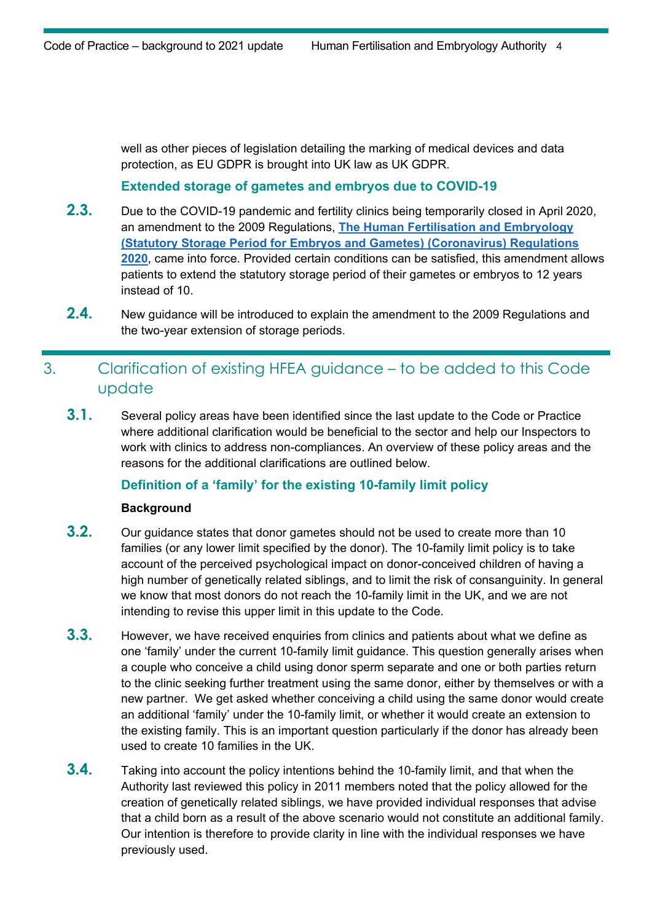well as other pieces of legislation detailing the marking of medical devices and data protection, as EU GDPR is brought into UK law as UK GDPR.

#### **Extended storage of gametes and embryos due to COVID-19**

- **2.3.** Due to the COVID-19 pandemic and fertility clinics being temporarily closed in April 2020, an amendment to the 2009 Regulations, **[The Human Fertilisation and Embryology](https://www.legislation.gov.uk/uksi/2020/566/made)  [\(Statutory Storage Period for Embryos and Gametes\) \(Coronavirus\) Regulations](https://www.legislation.gov.uk/uksi/2020/566/made)  [2020](https://www.legislation.gov.uk/uksi/2020/566/made)**, came into force. Provided certain conditions can be satisfied, this amendment allows patients to extend the statutory storage period of their gametes or embryos to 12 years instead of 10.
- **2.4.** New guidance will be introduced to explain the amendment to the 2009 Regulations and the two-year extension of storage periods.

# 3. Clarification of existing HFEA guidance – to be added to this Code update

**3.1.** Several policy areas have been identified since the last update to the Code or Practice where additional clarification would be beneficial to the sector and help our Inspectors to work with clinics to address non-compliances. An overview of these policy areas and the reasons for the additional clarifications are outlined below.

#### **Definition of a 'family' for the existing 10-family limit policy**

#### **Background**

- **3.2.** Our guidance states that donor gametes should not be used to create more than 10 families (or any lower limit specified by the donor). The 10-family limit policy is to take account of the perceived psychological impact on donor-conceived children of having a high number of genetically related siblings, and to limit the risk of consanguinity. In general we know that most donors do not reach the 10-family limit in the UK, and we are not intending to revise this upper limit in this update to the Code.
- **3.3.** However, we have received enquiries from clinics and patients about what we define as one 'family' under the current 10-family limit guidance. This question generally arises when a couple who conceive a child using donor sperm separate and one or both parties return to the clinic seeking further treatment using the same donor, either by themselves or with a new partner. We get asked whether conceiving a child using the same donor would create an additional 'family' under the 10-family limit, or whether it would create an extension to the existing family. This is an important question particularly if the donor has already been used to create 10 families in the UK.
- **3.4.** Taking into account the policy intentions behind the 10-family limit, and that when the Authority last reviewed this policy in 2011 members noted that the policy allowed for the creation of genetically related siblings, we have provided individual responses that advise that a child born as a result of the above scenario would not constitute an additional family. Our intention is therefore to provide clarity in line with the individual responses we have previously used.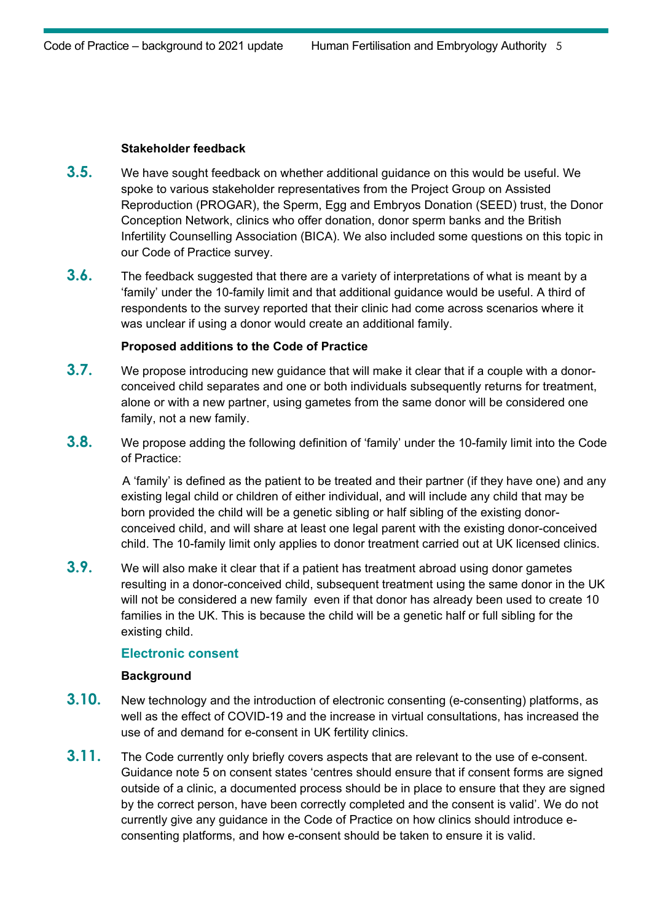#### **Stakeholder feedback**

- **3.5.** We have sought feedback on whether additional guidance on this would be useful. We spoke to various stakeholder representatives from the [Project Group on Assisted](https://www.basw.co.uk/what-we-do/groups-and-networks/special-interest-groups/progar/what-we-do)  [Reproduction \(PROGAR\),](https://www.basw.co.uk/what-we-do/groups-and-networks/special-interest-groups/progar/what-we-do) the Sperm, Egg and Embryos Donation (SEED) trust, the Donor Conception Network, clinics who offer donation, donor sperm banks and the British Infertility Counselling Association (BICA). We also included some questions on this topic in our Code of Practice survey.
- **3.6.** The feedback suggested that there are a variety of interpretations of what is meant by a 'family' under the 10-family limit and that additional guidance would be useful. A third of respondents to the survey reported that their clinic had come across scenarios where it was unclear if using a donor would create an additional family.

#### **Proposed additions to the Code of Practice**

- **3.7.** We propose introducing new guidance that will make it clear that if a couple with a donorconceived child separates and one or both individuals subsequently returns for treatment, alone or with a new partner, using gametes from the same donor will be considered one family, not a new family.
- **3.8.** We propose adding the following definition of 'family' under the 10-family limit into the Code of Practice:

A 'family' is defined as the patient to be treated and their partner (if they have one) and any existing legal child or children of either individual, and will include any child that may be born provided the child will be a genetic sibling or half sibling of the existing donorconceived child, and will share at least one legal parent with the existing donor-conceived child. The 10-family limit only applies to donor treatment carried out at UK licensed clinics.

**3.9.** We will also make it clear that if a patient has treatment abroad using donor gametes resulting in a donor-conceived child, subsequent treatment using the same donor in the UK will not be considered a new family even if that donor has already been used to create 10 families in the UK. This is because the child will be a genetic half or full sibling for the existing child.

#### **Electronic consent**

#### **Background**

- **3.10.** New technology and the introduction of electronic consenting (e-consenting) platforms, as well as the effect of COVID-19 and the increase in virtual consultations, has increased the use of and demand for e-consent in UK fertility clinics.
- **3.11.** The Code currently only briefly covers aspects that are relevant to the use of e-consent. Guidance note 5 on consent states 'centres should ensure that if consent forms are signed outside of a clinic, a documented process should be in place to ensure that they are signed by the correct person, have been correctly completed and the consent is valid'. We do not currently give any guidance in the Code of Practice on how clinics should introduce econsenting platforms, and how e-consent should be taken to ensure it is valid.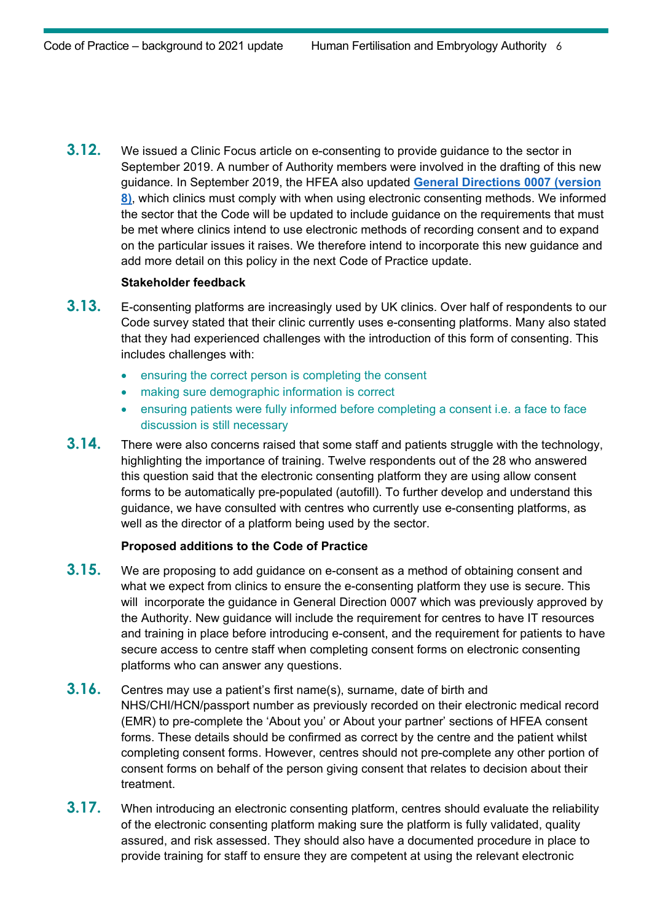**3.12.** We issued a Clinic Focus article on e-consenting to provide guidance to the sector in September 2019. A number of Authority members were involved in the drafting of this new guidance. In September 2019, the HFEA also updated **[General Directions 0007 \(version](https://portal.hfea.gov.uk/media/1477/2019-09-27-general-direction-0007-version-8-final.pdf)  [8\)](https://portal.hfea.gov.uk/media/1477/2019-09-27-general-direction-0007-version-8-final.pdf)**, which clinics must comply with when using electronic consenting methods. We informed the sector that the Code will be updated to include guidance on the requirements that must be met where clinics intend to use electronic methods of recording consent and to expand on the particular issues it raises. We therefore intend to incorporate this new guidance and add more detail on this policy in the next Code of Practice update.

#### **Stakeholder feedback**

- **3.13.** E-consenting platforms are increasingly used by UK clinics. Over half of respondents to our Code survey stated that their clinic currently uses e-consenting platforms. Many also stated that they had experienced challenges with the introduction of this form of consenting. This includes challenges with:
	- ensuring the correct person is completing the consent
	- making sure demographic information is correct
	- ensuring patients were fully informed before completing a consent i.e. a face to face discussion is still necessary
- **3.14.** There were also concerns raised that some staff and patients struggle with the technology, highlighting the importance of training. Twelve respondents out of the 28 who answered this question said that the electronic consenting platform they are using allow consent forms to be automatically pre-populated (autofill). To further develop and understand this guidance, we have consulted with centres who currently use e-consenting platforms, as well as the director of a platform being used by the sector.

#### **Proposed additions to the Code of Practice**

**3.15.** We are proposing to add guidance on e-consent as a method of obtaining consent and what we expect from clinics to ensure the e-consenting platform they use is secure. This will incorporate the guidance in General Direction 0007 which was previously approved by the Authority. New guidance will include the requirement for centres to have IT resources and training in place before introducing e-consent, and the requirement for patients to have secure access to centre staff when completing consent forms on electronic consenting platforms who can answer any questions.

### **3.16.** Centres may use a patient's first name(s), surname, date of birth and NHS/CHI/HCN/passport number as previously recorded on their electronic medical record (EMR) to pre-complete the 'About you' or About your partner' sections of HFEA consent forms. These details should be confirmed as correct by the centre and the patient whilst completing consent forms. However, centres should not pre-complete any other portion of consent forms on behalf of the person giving consent that relates to decision about their treatment.

**3.17.** When introducing an electronic consenting platform, centres should evaluate the reliability of the electronic consenting platform making sure the platform is fully validated, quality assured, and risk assessed. They should also have a documented procedure in place to provide training for staff to ensure they are competent at using the relevant electronic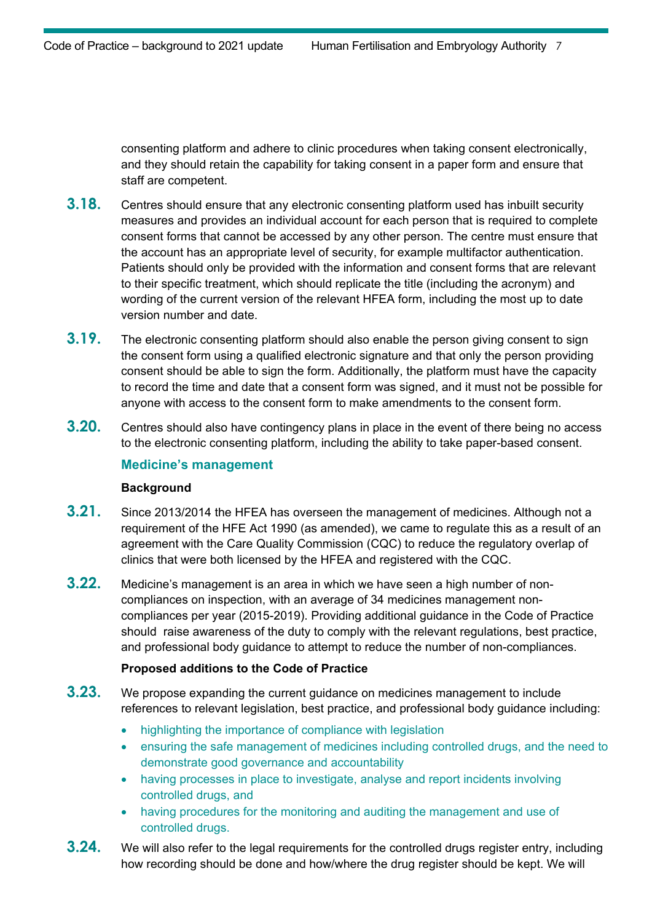consenting platform and adhere to clinic procedures when taking consent electronically, and they should retain the capability for taking consent in a paper form and ensure that staff are competent.

- **3.18.** Centres should ensure that any electronic consenting platform used has inbuilt security measures and provides an individual account for each person that is required to complete consent forms that cannot be accessed by any other person. The centre must ensure that the account has an appropriate level of security, for example multifactor authentication. Patients should only be provided with the information and consent forms that are relevant to their specific treatment, which should replicate the title (including the acronym) and wording of the current version of the relevant HFEA form, including the most up to date version number and date.
- **3.19.** The electronic consenting platform should also enable the person giving consent to sign the consent form using a qualified electronic signature and that only the person providing consent should be able to sign the form. Additionally, the platform must have the capacity to record the time and date that a consent form was signed, and it must not be possible for anyone with access to the consent form to make amendments to the consent form.
- **3.20.** Centres should also have contingency plans in place in the event of there being no access to the electronic consenting platform, including the ability to take paper-based consent.

#### **Medicine's management**

#### **Background**

- **3.21.** Since 2013/2014 the HFEA has overseen the management of medicines. Although not a requirement of the HFE Act 1990 (as amended), we came to regulate this as a result of an agreement with the Care Quality Commission (CQC) to reduce the regulatory overlap of clinics that were both licensed by the HFEA and registered with the CQC.
- **3.22.** Medicine's management is an area in which we have seen a high number of noncompliances on inspection, with an average of 34 medicines management noncompliances per year (2015-2019). Providing additional guidance in the Code of Practice should raise awareness of the duty to comply with the relevant regulations, best practice, and professional body guidance to attempt to reduce the number of non-compliances.

#### **Proposed additions to the Code of Practice**

- **3.23.** We propose expanding the current guidance on medicines management to include references to relevant legislation, best practice, and professional body guidance including:
	- highlighting the importance of compliance with legislation
	- ensuring the safe management of medicines including controlled drugs, and the need to demonstrate good governance and accountability
	- having processes in place to investigate, analyse and report incidents involving controlled drugs, and
	- having procedures for the monitoring and auditing the management and use of controlled drugs.
- **3.24.** We will also refer to the legal requirements for the controlled drugs register entry, including how recording should be done and how/where the drug register should be kept. We will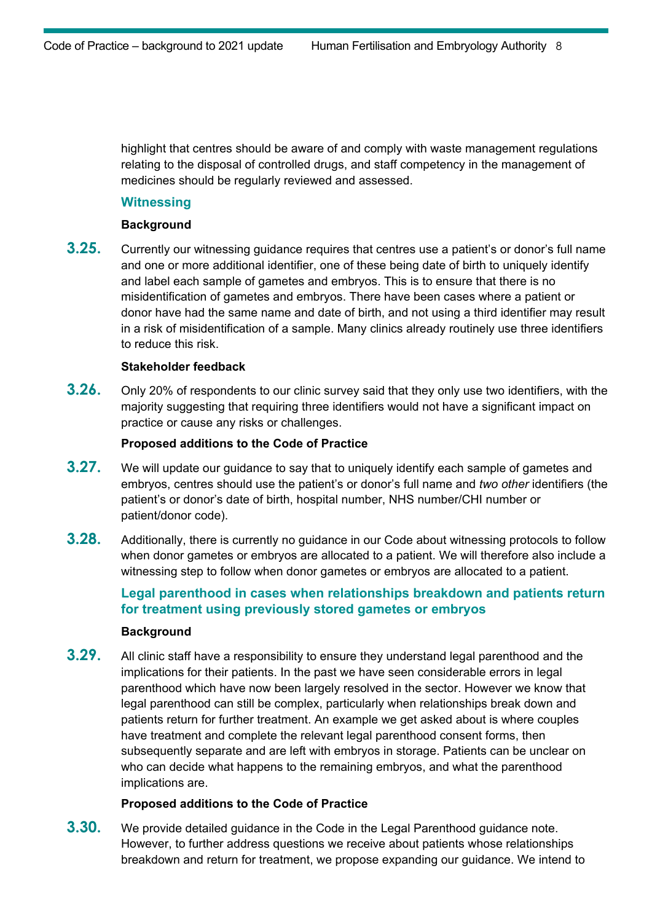highlight that centres should be aware of and comply with waste management regulations relating to the disposal of controlled drugs, and staff competency in the management of medicines should be regularly reviewed and assessed.

#### **Witnessing**

#### **Background**

**3.25.** Currently our witnessing guidance requires that centres use a patient's or donor's full name and one or more additional identifier, one of these being date of birth to uniquely identify and label each sample of gametes and embryos. This is to ensure that there is no misidentification of gametes and embryos. There have been cases where a patient or donor have had the same name and date of birth, and not using a third identifier may result in a risk of misidentification of a sample. Many clinics already routinely use three identifiers to reduce this risk.

#### **Stakeholder feedback**

**3.26.** Only 20% of respondents to our clinic survey said that they only use two identifiers, with the majority suggesting that requiring three identifiers would not have a significant impact on practice or cause any risks or challenges.

#### **Proposed additions to the Code of Practice**

- **3.27.** We will update our guidance to say that to uniquely identify each sample of gametes and embryos, centres should use the patient's or donor's full name and *two other* identifiers (the patient's or donor's date of birth, hospital number, NHS number/CHI number or patient/donor code).
- **3.28.** Additionally, there is currently no guidance in our Code about witnessing protocols to follow when donor gametes or embryos are allocated to a patient. We will therefore also include a witnessing step to follow when donor gametes or embryos are allocated to a patient.

## **Legal parenthood in cases when relationships breakdown and patients return for treatment using previously stored gametes or embryos**

#### **Background**

**3.29.** All clinic staff have a responsibility to ensure they understand legal parenthood and the implications for their patients. In the past we have seen considerable errors in legal parenthood which have now been largely resolved in the sector. However we know that legal parenthood can still be complex, particularly when relationships break down and patients return for further treatment. An example we get asked about is where couples have treatment and complete the relevant legal parenthood consent forms, then subsequently separate and are left with embryos in storage. Patients can be unclear on who can decide what happens to the remaining embryos, and what the parenthood implications are.

#### **Proposed additions to the Code of Practice**

**3.30.** We provide detailed guidance in the Code in the Legal Parenthood guidance note. However, to further address questions we receive about patients whose relationships breakdown and return for treatment, we propose expanding our guidance. We intend to